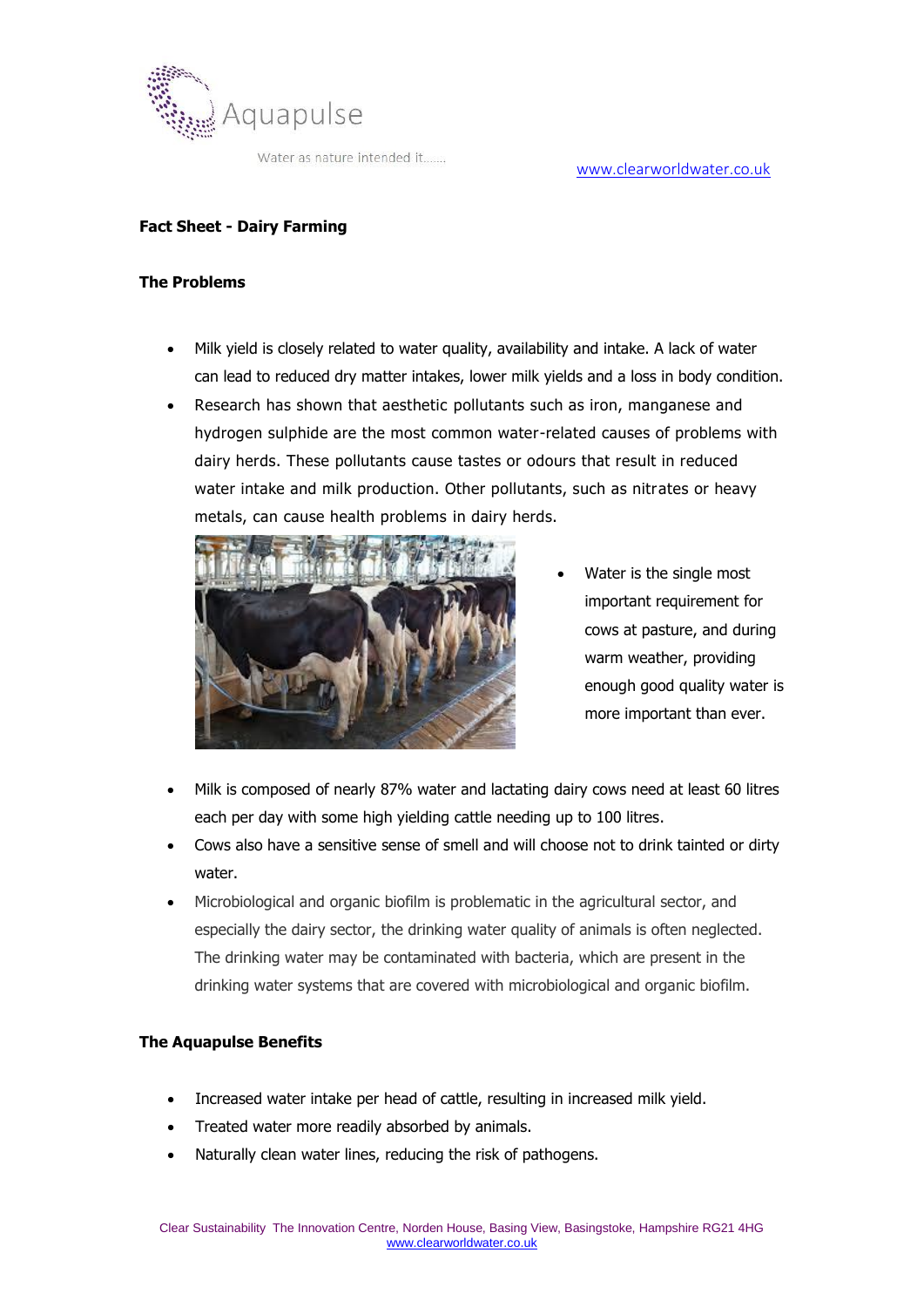

Water as nature intended it.......

## **Fact Sheet - Dairy Farming**

#### **The Problems**

- Milk yield is closely related to water quality, availability and intake. A lack of water can lead to reduced dry matter intakes, lower milk yields and a loss in body condition.
- Research has shown that aesthetic pollutants such as iron, manganese and hydrogen sulphide are the most common water-related causes of problems with dairy herds. These pollutants cause tastes or odours that result in reduced water intake and milk production. Other pollutants, such as nitrates or heavy metals, can cause health problems in dairy herds.



- Water is the single most important requirement for cows at pasture, and during warm weather, providing enough good quality water is more important than ever.
- Milk is composed of nearly 87% water and lactating dairy cows need at least 60 litres each per day with some high yielding cattle needing up to 100 litres.
- Cows also have a sensitive sense of smell and will choose not to drink tainted or dirty water.
- Microbiological and organic biofilm is problematic in the agricultural sector, and especially the dairy sector, the drinking water quality of animals is often neglected. The drinking water may be contaminated with bacteria, which are present in the drinking water systems that are covered with microbiological and organic biofilm.

### **The Aquapulse Benefits**

- Increased water intake per head of cattle, resulting in increased milk yield.
- Treated water more readily absorbed by animals.
- Naturally clean water lines, reducing the risk of pathogens.